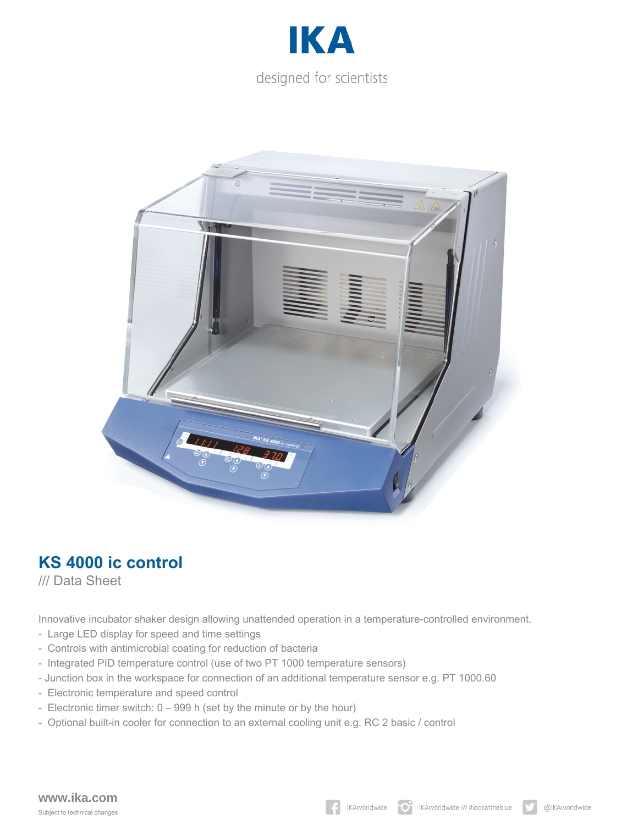



## **KS 4000 ic control**

/// Data Sheet

Innovative incubator shaker design allowing unattended operation in a temperature-controlled environment.

- Large LED display for speed and time settings
- Controls with antimicrobial coating for reduction of bacteria
- Integrated PID temperature control (use of two PT 1000 temperature sensors)
- Junction box in the workspace for connection of an additional temperature sensor e.g. PT 1000.60
- Electronic temperature and speed control
- Electronic timer switch: 0 999 h (set by the minute or by the hour)
- Optional built-in cooler for connection to an external cooling unit e.g. RC 2 basic / control

## **www.ika.com** Subject to technical changes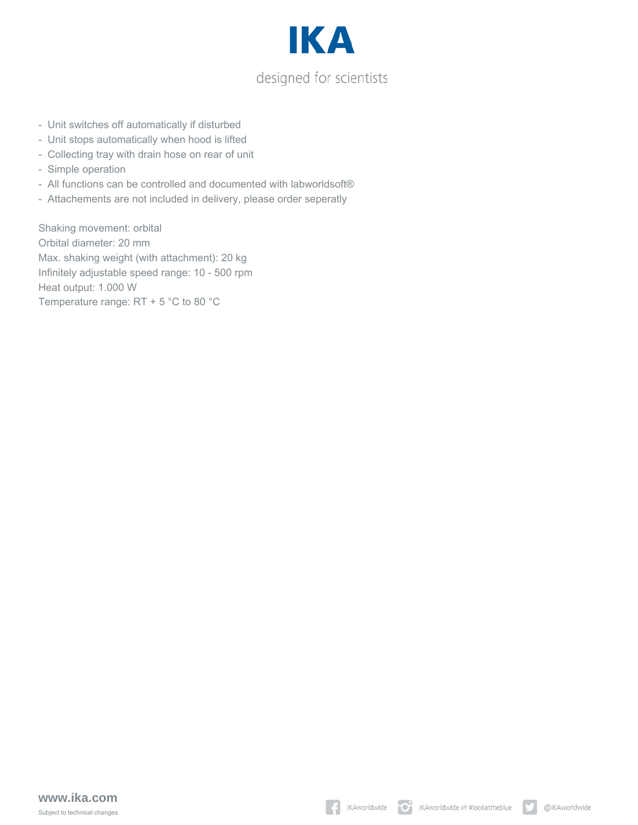

- Unit switches off automatically if disturbed
- Unit stops automatically when hood is lifted
- Collecting tray with drain hose on rear of unit
- Simple operation
- All functions can be controlled and documented with labworldsoft®
- Attachements are not included in delivery, please order seperatly

Shaking movement: orbital Orbital diameter: 20 mm Max. shaking weight (with attachment): 20 kg Infinitely adjustable speed range: 10 - 500 rpm Heat output: 1.000 W Temperature range: RT + 5 °C to 80 °C